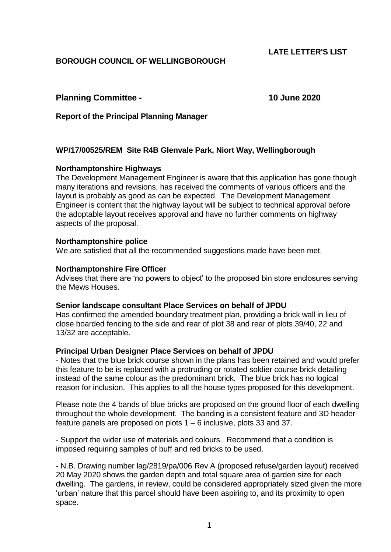# **LATE LETTER'S LIST**

# **BOROUGH COUNCIL OF WELLINGBOROUGH**

## **Planning Committee - 10 June 2020**

**Report of the Principal Planning Manager**

### **WP/17/00525/REM Site R4B Glenvale Park, Niort Way, Wellingborough**

#### **Northamptonshire Highways**

The Development Management Engineer is aware that this application has gone though many iterations and revisions, has received the comments of various officers and the layout is probably as good as can be expected. The Development Management Engineer is content that the highway layout will be subject to technical approval before the adoptable layout receives approval and have no further comments on highway aspects of the proposal.

#### **Northamptonshire police**

We are satisfied that all the recommended suggestions made have been met.

#### **Northamptonshire Fire Officer**

Advises that there are 'no powers to object' to the proposed bin store enclosures serving the Mews Houses.

#### **Senior landscape consultant Place Services on behalf of JPDU**

Has confirmed the amended boundary treatment plan, providing a brick wall in lieu of close boarded fencing to the side and rear of plot 38 and rear of plots 39/40, 22 and 13/32 are acceptable.

#### **Principal Urban Designer Place Services on behalf of JPDU**

- Notes that the blue brick course shown in the plans has been retained and would prefer this feature to be is replaced with a protruding or rotated soldier course brick detailing instead of the same colour as the predominant brick. The blue brick has no logical reason for inclusion. This applies to all the house types proposed for this development.

Please note the 4 bands of blue bricks are proposed on the ground floor of each dwelling throughout the whole development. The banding is a consistent feature and 3D header feature panels are proposed on plots 1 – 6 inclusive, plots 33 and 37.

- Support the wider use of materials and colours. Recommend that a condition is imposed requiring samples of buff and red bricks to be used.

- N.B. Drawing number lag/2819/pa/006 Rev A (proposed refuse/garden layout) received 20 May 2020 shows the garden depth and total square area of garden size for each dwelling. The gardens, in review, could be considered appropriately sized given the more 'urban' nature that this parcel should have been aspiring to, and its proximity to open space.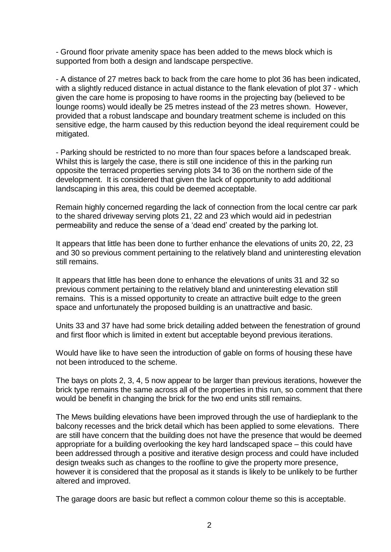- Ground floor private amenity space has been added to the mews block which is supported from both a design and landscape perspective.

- A distance of 27 metres back to back from the care home to plot 36 has been indicated, with a slightly reduced distance in actual distance to the flank elevation of plot 37 - which given the care home is proposing to have rooms in the projecting bay (believed to be lounge rooms) would ideally be 25 metres instead of the 23 metres shown. However, provided that a robust landscape and boundary treatment scheme is included on this sensitive edge, the harm caused by this reduction beyond the ideal requirement could be mitigated.

- Parking should be restricted to no more than four spaces before a landscaped break. Whilst this is largely the case, there is still one incidence of this in the parking run opposite the terraced properties serving plots 34 to 36 on the northern side of the development. It is considered that given the lack of opportunity to add additional landscaping in this area, this could be deemed acceptable.

Remain highly concerned regarding the lack of connection from the local centre car park to the shared driveway serving plots 21, 22 and 23 which would aid in pedestrian permeability and reduce the sense of a 'dead end' created by the parking lot.

It appears that little has been done to further enhance the elevations of units 20, 22, 23 and 30 so previous comment pertaining to the relatively bland and uninteresting elevation still remains.

It appears that little has been done to enhance the elevations of units 31 and 32 so previous comment pertaining to the relatively bland and uninteresting elevation still remains. This is a missed opportunity to create an attractive built edge to the green space and unfortunately the proposed building is an unattractive and basic.

Units 33 and 37 have had some brick detailing added between the fenestration of ground and first floor which is limited in extent but acceptable beyond previous iterations.

Would have like to have seen the introduction of gable on forms of housing these have not been introduced to the scheme.

The bays on plots 2, 3, 4, 5 now appear to be larger than previous iterations, however the brick type remains the same across all of the properties in this run, so comment that there would be benefit in changing the brick for the two end units still remains.

The Mews building elevations have been improved through the use of hardieplank to the balcony recesses and the brick detail which has been applied to some elevations. There are still have concern that the building does not have the presence that would be deemed appropriate for a building overlooking the key hard landscaped space – this could have been addressed through a positive and iterative design process and could have included design tweaks such as changes to the roofline to give the property more presence, however it is considered that the proposal as it stands is likely to be unlikely to be further altered and improved.

The garage doors are basic but reflect a common colour theme so this is acceptable.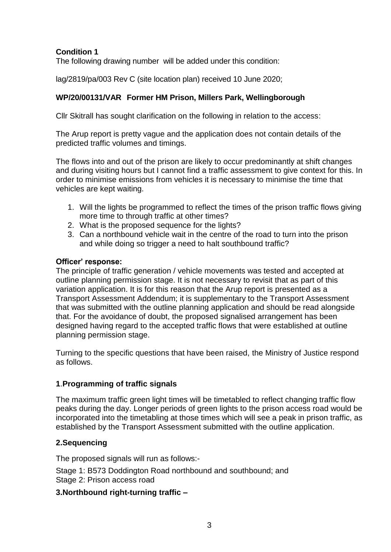# **Condition 1**

The following drawing number will be added under this condition:

lag/2819/pa/003 Rev C (site location plan) received 10 June 2020;

# **WP/20/00131/VAR Former HM Prison, Millers Park, Wellingborough**

Cllr Skitrall has sought clarification on the following in relation to the access:

The Arup report is pretty vague and the application does not contain details of the predicted traffic volumes and timings.

The flows into and out of the prison are likely to occur predominantly at shift changes and during visiting hours but I cannot find a traffic assessment to give context for this. In order to minimise emissions from vehicles it is necessary to minimise the time that vehicles are kept waiting.

- 1. Will the lights be programmed to reflect the times of the prison traffic flows giving more time to through traffic at other times?
- 2. What is the proposed sequence for the lights?
- 3. Can a northbound vehicle wait in the centre of the road to turn into the prison and while doing so trigger a need to halt southbound traffic?

### **Officer' response:**

The principle of traffic generation / vehicle movements was tested and accepted at outline planning permission stage. It is not necessary to revisit that as part of this variation application. It is for this reason that the Arup report is presented as a Transport Assessment Addendum; it is supplementary to the Transport Assessment that was submitted with the outline planning application and should be read alongside that. For the avoidance of doubt, the proposed signalised arrangement has been designed having regard to the accepted traffic flows that were established at outline planning permission stage.

Turning to the specific questions that have been raised, the Ministry of Justice respond as follows.

## **1**.**Programming of traffic signals**

The maximum traffic green light times will be timetabled to reflect changing traffic flow peaks during the day. Longer periods of green lights to the prison access road would be incorporated into the timetabling at those times which will see a peak in prison traffic, as established by the Transport Assessment submitted with the outline application.

## **2.Sequencing**

The proposed signals will run as follows:-

Stage 1: B573 Doddington Road northbound and southbound; and Stage 2: Prison access road

## **3.Northbound right-turning traffic –**